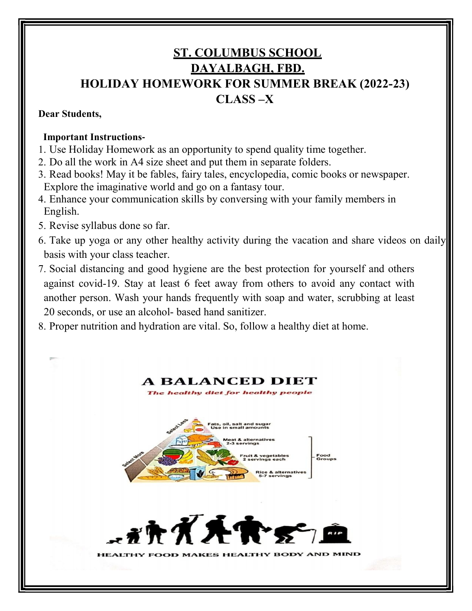# ST. COLUMBUS SCHOOL DAYALBAGH, FBD. HOLIDAY HOMEWORK FOR SUMMER BREAK (2022-23) CLASS –X

#### Dear Students,

#### Important Instructions-

- 1. Use Holiday Homework as an opportunity to spend quality time together.
- 2. Do all the work in A4 size sheet and put them in separate folders.
- 3. Read books! May it be fables, fairy tales, encyclopedia, comic books or newspaper. Explore the imaginative world and go on a fantasy tour.
- 4. Enhance your communication skills by conversing with your family members in English.
- 5. Revise syllabus done so far.
- 6. Take up yoga or any other healthy activity during the vacation and share videos on daily basis with your class teacher.
- 7. Social distancing and good hygiene are the best protection for yourself and others against covid-19. Stay at least 6 feet away from others to avoid any contact with another person. Wash your hands frequently with soap and water, scrubbing at least 20 seconds, or use an alcohol- based hand sanitizer.
- 8. Proper nutrition and hydration are vital. So, follow a healthy diet at home.

#### A BALANCED DIET The healthy diet for healthy peop



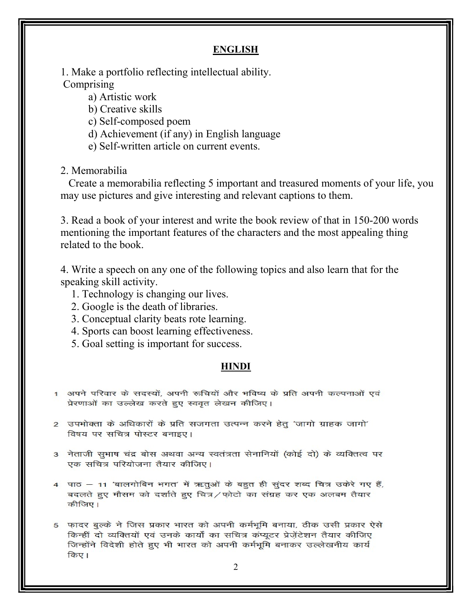#### ENGLISH

1. Make a portfolio reflecting intellectual ability. **Comprising** 

a) Artistic work

- b) Creative skills
- c) Self-composed poem
- d) Achievement (if any) in English language
- e) Self-written article on current events.

#### 2. Memorabilia

 Create a memorabilia reflecting 5 important and treasured moments of your life, you may use pictures and give interesting and relevant captions to them.

3. Read a book of your interest and write the book review of that in 150-200 words mentioning the important features of the characters and the most appealing thing related to the book.

4. Write a speech on any one of the following topics and also learn that for the speaking skill activity.

- 1. Technology is changing our lives.
- 2. Google is the death of libraries.
- 3. Conceptual clarity beats rote learning.
- 4. Sports can boost learning effectiveness.
- 5. Goal setting is important for success.

#### HINDI

- 1) अपने परिवार के सदस्यों. अपनी रूचियों और भविष्य के प्रति अपनी कल्पनाओं एवं प्रेरणाओं का उल्लेख करते हुए स्ववृत लेखन कीजिए।
- 2) उपभोक्ता के अधिकारों के प्रति सजगता उत्पन्न करने हेतु 'जागो ग्राहक जागो' विषय पर सचित्र पोस्टर बनाइए।
- 3) नेताजी सुभाष चंद्र बोस अथवा अन्य स्वतंत्रता सेनानियों (कोई दो) के व्यक्तित्व पर एक सचित्र परियोजना तैयार कीजिए।
- 4 पाठ 11 'बालगोबिन भगत' में ऋतुओं के बहुत ही सुंदर शब्द चित्र उकेरे गए हैं, बदलते हुए मौसम को दर्शाते हुए चित्र/फोटो का संग्रह कर एक अलबम तैयार कीजिए।
- 5 फादर बूल्के ने जिस प्रकार भारत को अपनी कर्मभूमि बनाया, ठीक उसी प्रकार ऐसे किन्हीं दो व्यक्तियों एवं उनके कार्यों का सचित्र कंप्यूटर प्रेज़ेंटेशन तैयार कीजिए जिन्होंने विदेशी होते हुए भी भारत को अपनी कर्मभूमि बनाकर उल्लेखनीय कार्य किए।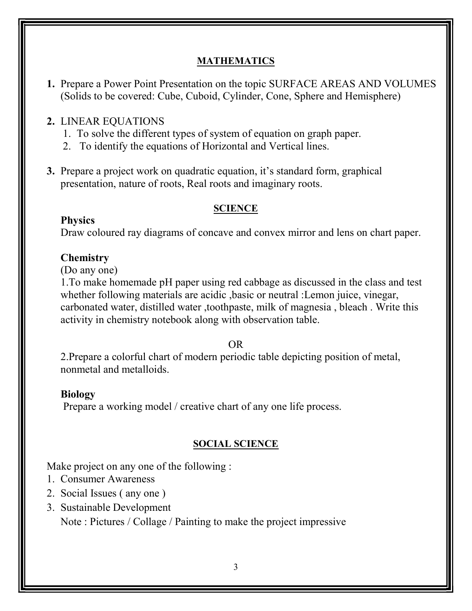### MATHEMATICS

1. Prepare a Power Point Presentation on the topic SURFACE AREAS AND VOLUMES (Solids to be covered: Cube, Cuboid, Cylinder, Cone, Sphere and Hemisphere)

### 2. LINEAR EQUATIONS

- 1. To solve the different types of system of equation on graph paper.
- 2. To identify the equations of Horizontal and Vertical lines.
- 3. Prepare a project work on quadratic equation, it's standard form, graphical presentation, nature of roots, Real roots and imaginary roots.

#### **SCIENCE**

Physics

Draw coloured ray diagrams of concave and convex mirror and lens on chart paper.

### **Chemistry**

(Do any one)

1.To make homemade pH paper using red cabbage as discussed in the class and test whether following materials are acidic ,basic or neutral :Lemon juice, vinegar, carbonated water, distilled water ,toothpaste, milk of magnesia , bleach . Write this activity in chemistry notebook along with observation table.

OR

2.Prepare a colorful chart of modern periodic table depicting position of metal, nonmetal and metalloids.

#### Biology

Prepare a working model / creative chart of any one life process.

## SOCIAL SCIENCE

Make project on any one of the following :

- 1. Consumer Awareness
- 2. Social Issues ( any one )
- 3. Sustainable Development

Note : Pictures / Collage / Painting to make the project impressive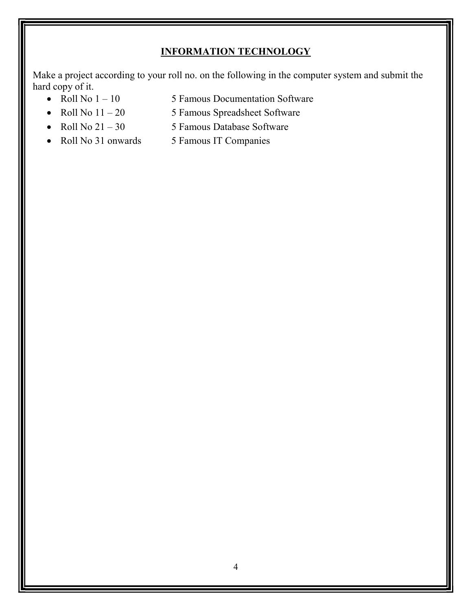# INFORMATION TECHNOLOGY

Make a project according to your roll no. on the following in the computer system and submit the hard copy of it.

- 
- Roll No  $1 10$  5 Famous Documentation Software
- Roll No  $11 20$  5 Famous Spreadsheet Software
- Roll No  $21 30$  5 Famous Database Software
	-
- 
- Roll No 31 onwards 5 Famous IT Companies